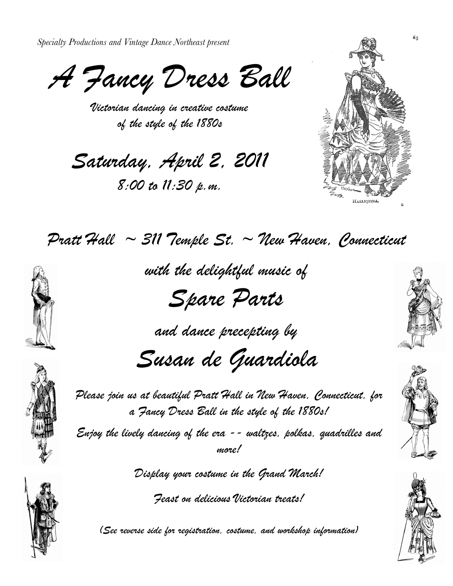*Specialty Productions and Vintage Dance Northeast present*

*A Fancy Dress Ball*

*Victorian dancing in creative costume of the style of the 1880s*

*Saturday, April 2, 2011*

*8:00 to 11:30 p.m.*





*with the delightful music of*

*Spare Parts*

*and dance precepting by*

*Susan de Guardiola*



*Please join us at beautiful Pratt Hall in New Haven, Connecticut, for a Fancy Dress Ball in the style of the 1880s!* 

*Enjoy the lively dancing of the era -- waltzes, polkas, quadrilles and more!*

*Display your costume in the Grand March!*

*Feast on delicious Victorian treats!*

*(See reverse side for registration, costume, and workshop information)*







65